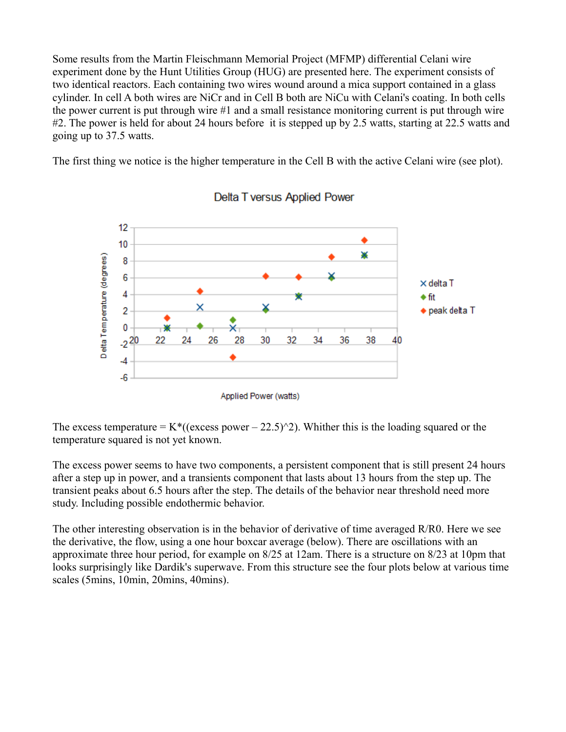Some results from the Martin Fleischmann Memorial Project (MFMP) differential Celani wire experiment done by the Hunt Utilities Group (HUG) are presented here. The experiment consists of two identical reactors. Each containing two wires wound around a mica support contained in a glass cylinder. In cell A both wires are NiCr and in Cell B both are NiCu with Celani's coating. In both cells the power current is put through wire #1 and a small resistance monitoring current is put through wire #2. The power is held for about 24 hours before it is stepped up by 2.5 watts, starting at 22.5 watts and going up to 37.5 watts.

The first thing we notice is the higher temperature in the Cell B with the active Celani wire (see plot).



## Delta T versus Applied Power

The excess temperature =  $K^*(($ excess power – 22.5 $)^2$ ). Whither this is the loading squared or the temperature squared is not yet known.

The excess power seems to have two components, a persistent component that is still present 24 hours after a step up in power, and a transients component that lasts about 13 hours from the step up. The transient peaks about 6.5 hours after the step. The details of the behavior near threshold need more study. Including possible endothermic behavior.

The other interesting observation is in the behavior of derivative of time averaged R/R0. Here we see the derivative, the flow, using a one hour boxcar average (below). There are oscillations with an approximate three hour period, for example on 8/25 at 12am. There is a structure on 8/23 at 10pm that looks surprisingly like Dardik's superwave. From this structure see the four plots below at various time scales (5mins, 10min, 20mins, 40mins).

Applied Power (watts)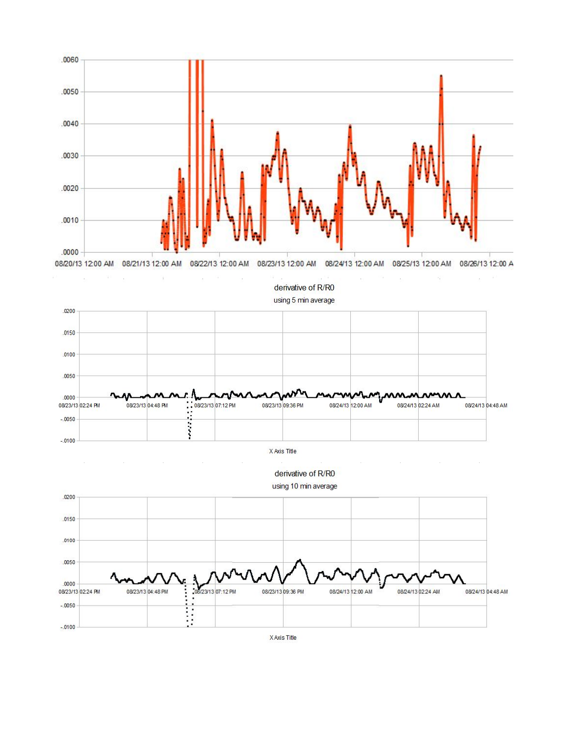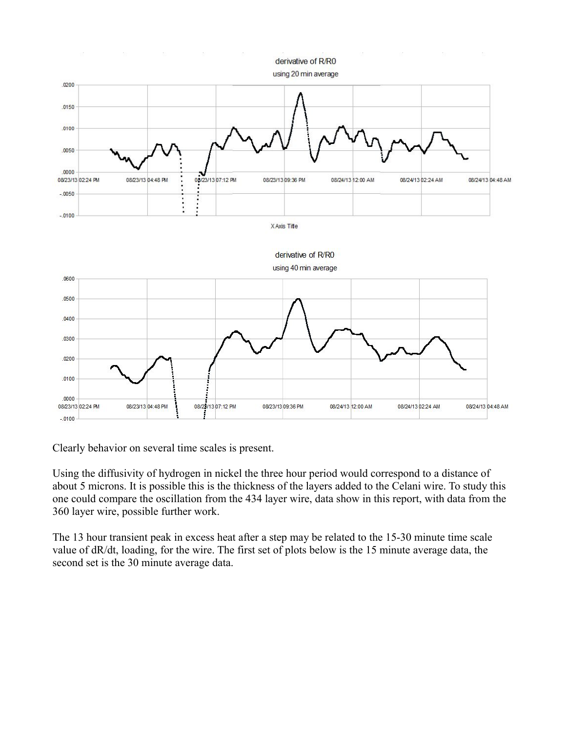

Clearly behavior on several time scales is present.

Using the diffusivity of hydrogen in nickel the three hour period would correspond to a distance of about 5 microns. It is possible this is the thickness of the layers added to the Celani wire. To study this one could compare the oscillation from the 434 layer wire, data show in this report, with data from the 360 layer wire, possible further work.

The 13 hour transient peak in excess heat after a step may be related to the 15-30 minute time scale value of dR/dt, loading, for the wire. The first set of plots below is the 15 minute average data, the second set is the 30 minute average data.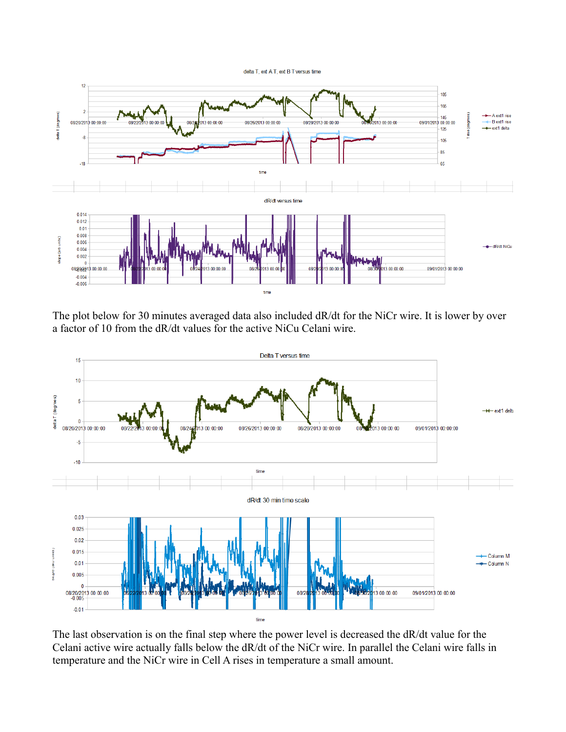delta T, ext A T, ext B T versus time



The plot below for 30 minutes averaged data also included dR/dt for the NiCr wire. It is lower by over a factor of 10 from the dR/dt values for the active NiCu Celani wire.



The last observation is on the final step where the power level is decreased the dR/dt value for the Celani active wire actually falls below the dR/dt of the NiCr wire. In parallel the Celani wire falls in temperature and the NiCr wire in Cell A rises in temperature a small amount.